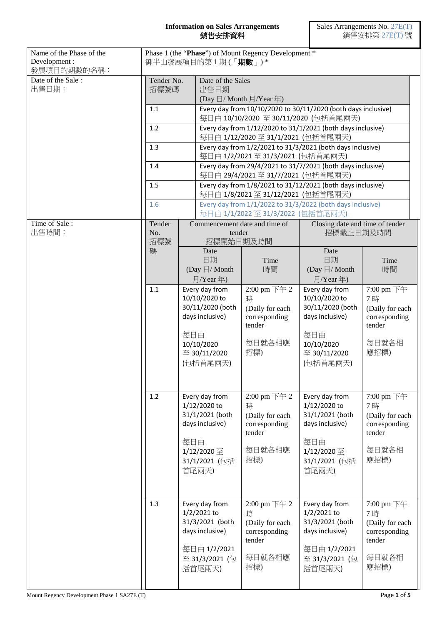## **Information on Sales Arrangements** 銷售安排資料

| Name of the Phase of the<br>Development:<br>發展項目的期數的名稱: |                                 |  | 御半山發展項目的第1期(「期數」)*                                                                                                                                                                                                                              | Phase 1 (the "Phase") of Mount Regency Development *                                                                                                                         |                                                                                                                                                                                                                                                 |                                                                                                                                                                    |  |
|---------------------------------------------------------|---------------------------------|--|-------------------------------------------------------------------------------------------------------------------------------------------------------------------------------------------------------------------------------------------------|------------------------------------------------------------------------------------------------------------------------------------------------------------------------------|-------------------------------------------------------------------------------------------------------------------------------------------------------------------------------------------------------------------------------------------------|--------------------------------------------------------------------------------------------------------------------------------------------------------------------|--|
| Date of the Sale:<br>出售日期:                              | Tender No.<br>招標號碼              |  | Date of the Sales<br>出售日期<br>(Day $\boxdot$ / Month $\exists$ /Year 年)                                                                                                                                                                          |                                                                                                                                                                              |                                                                                                                                                                                                                                                 |                                                                                                                                                                    |  |
|                                                         | 1.1<br>1.2<br>1.3<br>1.4<br>1.5 |  | Every day from 10/10/2020 to 30/11/2020 (both days inclusive)                                                                                                                                                                                   |                                                                                                                                                                              |                                                                                                                                                                                                                                                 |                                                                                                                                                                    |  |
|                                                         |                                 |  | 每日由 10/10/2020 至 30/11/2020 (包括首尾兩天)<br>Every day from 1/12/2020 to 31/1/2021 (both days inclusive)                                                                                                                                             |                                                                                                                                                                              |                                                                                                                                                                                                                                                 |                                                                                                                                                                    |  |
|                                                         |                                 |  | 每日由 1/12/2020至 31/1/2021 (包括首尾兩天)<br>Every day from 1/2/2021 to 31/3/2021 (both days inclusive)                                                                                                                                                 |                                                                                                                                                                              |                                                                                                                                                                                                                                                 |                                                                                                                                                                    |  |
|                                                         |                                 |  | 每日由 1/2/2021至 31/3/2021 (包括首尾兩天)<br>Every day from 29/4/2021 to 31/7/2021 (both days inclusive)                                                                                                                                                 |                                                                                                                                                                              |                                                                                                                                                                                                                                                 |                                                                                                                                                                    |  |
|                                                         |                                 |  | 每日由 29/4/2021至 31/7/2021 (包括首尾兩天)                                                                                                                                                                                                               |                                                                                                                                                                              |                                                                                                                                                                                                                                                 |                                                                                                                                                                    |  |
|                                                         |                                 |  | Every day from 1/8/2021 to 31/12/2021 (both days inclusive)<br>每日由 1/8/2021至 31/12/2021 (包括首尾兩天)                                                                                                                                                |                                                                                                                                                                              |                                                                                                                                                                                                                                                 |                                                                                                                                                                    |  |
|                                                         | 1.6                             |  | Every day from 1/1/2022 to 31/3/2022 (both days inclusive)<br>每日由 1/1/2022 至 31/3/2022 (包括首尾兩天)                                                                                                                                                 |                                                                                                                                                                              |                                                                                                                                                                                                                                                 |                                                                                                                                                                    |  |
| Time of Sale:<br>出售時間:                                  | Tender<br>No.                   |  | tender                                                                                                                                                                                                                                          | Commencement date and time of                                                                                                                                                | Closing date and time of tender<br>招標截止日期及時間                                                                                                                                                                                                    |                                                                                                                                                                    |  |
|                                                         | 招標號                             |  | 招標開始日期及時間                                                                                                                                                                                                                                       |                                                                                                                                                                              |                                                                                                                                                                                                                                                 |                                                                                                                                                                    |  |
|                                                         | 碼                               |  | Date<br>日期                                                                                                                                                                                                                                      | Time                                                                                                                                                                         | Date<br>日期                                                                                                                                                                                                                                      | Time                                                                                                                                                               |  |
|                                                         | 1.1<br>1.2                      |  | (Day $\boxdot/$ Month<br>月/Year年)                                                                                                                                                                                                               | 時間                                                                                                                                                                           | (Day $\boxdot/$ Month<br>月/Year年)                                                                                                                                                                                                               | 時間                                                                                                                                                                 |  |
|                                                         |                                 |  | Every day from<br>10/10/2020 to<br>30/11/2020 (both<br>days inclusive)<br>每日由<br>10/10/2020<br>至 30/11/2020<br>(包括首尾兩天)<br>Every day from<br>1/12/2020 to<br>31/1/2021 (both<br>days inclusive)<br>每日由<br>1/12/2020 至<br>31/1/2021 (包括<br>首尾兩天) | 2:00 pm $\nabla f$ 2<br>時<br>(Daily for each<br>corresponding<br>tender<br>每日就各相應<br>招標)<br>2:00 pm 下午 2<br>時<br>(Daily for each<br>corresponding<br>tender<br>每日就各相應<br>招標) | Every day from<br>10/10/2020 to<br>30/11/2020 (both<br>days inclusive)<br>每日由<br>10/10/2020<br>至 30/11/2020<br>(包括首尾兩天)<br>Every day from<br>1/12/2020 to<br>31/1/2021 (both<br>days inclusive)<br>每日由<br>1/12/2020 至<br>31/1/2021 (包括<br>首尾兩天) | 7:00 pm 下午<br>7時<br>(Daily for each<br>corresponding<br>tender<br>每日就各相<br>應招標)<br>7:00 pm 下午<br>7時<br>(Daily for each<br>corresponding<br>tender<br>每日就各相<br>應招標) |  |
|                                                         | 1.3                             |  | Every day from<br>1/2/2021 to<br>31/3/2021 (both<br>days inclusive)<br>每日由 1/2/2021<br>至 31/3/2021 (包<br>括首尾兩天)                                                                                                                                 | 2:00 pm 下午 2<br>時<br>(Daily for each<br>corresponding<br>tender<br>每日就各相應<br>招標)                                                                                             | Every day from<br>1/2/2021 to<br>31/3/2021 (both<br>days inclusive)<br>每日由 1/2/2021<br>至 31/3/2021 (包<br>括首尾兩天)                                                                                                                                 | 7:00 pm 下午<br>7時<br>(Daily for each<br>corresponding<br>tender<br>每日就各相<br>應招標)                                                                                    |  |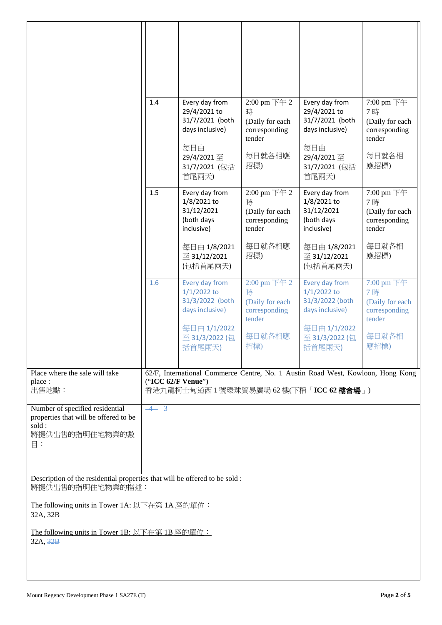|                                                                                                                | 1.4                | Every day from<br>29/4/2021 to<br>31/7/2021 (both<br>days inclusive)<br>每日由<br>29/4/2021至<br>31/7/2021 (包括                          | $2:00 \text{ pm } \pm 2$<br>時<br>(Daily for each<br>corresponding<br>tender<br>每日就各相應<br>招標) | Every day from<br>29/4/2021 to<br>31/7/2021 (both<br>days inclusive)<br>每日由<br>29/4/2021至<br>31/7/2021 (包括 | 7:00 pm 下午<br>7時<br>(Daily for each<br>corresponding<br>tender<br>每日就各相<br>應招標) |
|----------------------------------------------------------------------------------------------------------------|--------------------|-------------------------------------------------------------------------------------------------------------------------------------|----------------------------------------------------------------------------------------------|------------------------------------------------------------------------------------------------------------|---------------------------------------------------------------------------------|
|                                                                                                                | 1.5                | 首尾兩天)<br>Every day from<br>1/8/2021 to<br>31/12/2021<br>(both days<br>inclusive)<br>每日由 1/8/2021                                    | 2:00 pm 下午 2<br>時<br>(Daily for each<br>corresponding<br>tender<br>每日就各相應                    | 首尾兩天)<br>Every day from<br>1/8/2021 to<br>31/12/2021<br>(both days<br>inclusive)<br>每日由 1/8/2021           | 7:00 pm 下午<br>7時<br>(Daily for each<br>corresponding<br>tender<br>每日就各相         |
|                                                                                                                | 1.6                | 至 31/12/2021<br>(包括首尾兩天)<br>Every day from                                                                                          | 招標)<br>2:00 pm 下午 2                                                                          | 至 31/12/2021<br>(包括首尾兩天)<br>Every day from                                                                 | 應招標)<br>7:00 pm 下午                                                              |
|                                                                                                                |                    | $1/1/2022$ to<br>31/3/2022 (both<br>days inclusive)<br>每日由 1/1/2022<br>至 31/3/2022 (包<br>括首尾兩天)                                     | 時<br>(Daily for each<br>corresponding<br>tender<br>每日就各相應<br>招標)                             | $1/1/2022$ to<br>31/3/2022 (both<br>days inclusive)<br>每日由 1/1/2022<br>至 31/3/2022 (包<br>括首尾兩天)            | 7時<br>(Daily for each<br>corresponding<br>tender<br>每日就各相<br>應招標)               |
| Place where the sale will take<br>place :<br>出售地點:                                                             | ("ICC 62/F Venue") | 62/F, International Commerce Centre, No. 1 Austin Road West, Kowloon, Hong Kong<br>香港九龍柯士甸道西 1 號環球貿易廣場 62 樓(下稱「ICC 62 <b>樓會場</b> 」) |                                                                                              |                                                                                                            |                                                                                 |
| Number of specified residential<br>properties that will be offered to be<br>sold:<br>將提供出售的指明住宅物業的數<br>$\Xi$ : | $-4$ 3             |                                                                                                                                     |                                                                                              |                                                                                                            |                                                                                 |
| Description of the residential properties that will be offered to be sold :<br>將提供出售的指明住宅物業的描述:                |                    |                                                                                                                                     |                                                                                              |                                                                                                            |                                                                                 |
| The following units in Tower 1A: 以下在第 1A 座的單位:<br>32A, 32B<br>The following units in Tower 1B: 以下在第 1B 座的單位:   |                    |                                                                                                                                     |                                                                                              |                                                                                                            |                                                                                 |
| 32A, 32B                                                                                                       |                    |                                                                                                                                     |                                                                                              |                                                                                                            |                                                                                 |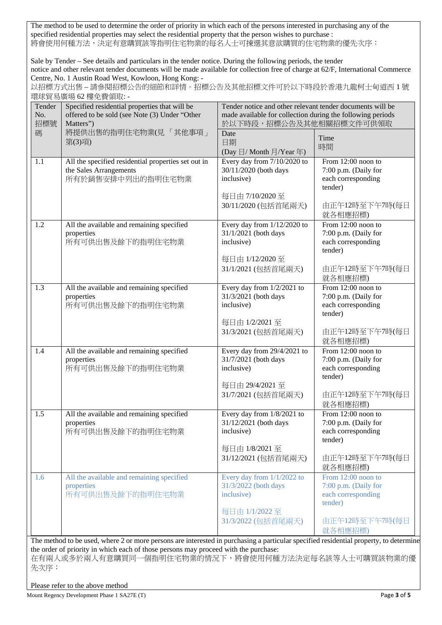The method to be used to determine the order of priority in which each of the persons interested in purchasing any of the specified residential properties may select the residential property that the person wishes to purchase : 將會使用何種方法,決定有意購買該等指明住宅物業的每名人士可揀選其意欲購買的住宅物業的優先次序:

Sale by Tender – See details and particulars in the tender notice. During the following periods, the tender notice and other relevant tender documents will be made available for collection free of charge at 62/F, International Commerce Centre, No. 1 Austin Road West, Kowloon, Hong Kong: -

以招標方式出售 – 請參閱招標公告的細節和詳情。招標公告及其他招標文件可於以下時段於香港九龍柯士甸道西 1 號 環球貿易廣場 62 樓免費領取: -

| ₩·까ㅋ ※/☞ ※ ○ <del>-</del> ।క৴⊔≍\  짜 'ㅆ'<br>Specified residential properties that will be<br>Tender<br>offered to be sold (see Note (3) Under "Other<br>No.<br>招標號<br>Matters") |                                                                                                    | Tender notice and other relevant tender documents will be<br>made available for collection during the following periods<br>於以下時段,招標公告及其他相關招標文件可供領取 |                                                                                                            |  |  |
|--------------------------------------------------------------------------------------------------------------------------------------------------------------------------------|----------------------------------------------------------------------------------------------------|----------------------------------------------------------------------------------------------------------------------------------------------------|------------------------------------------------------------------------------------------------------------|--|--|
| 碼                                                                                                                                                                              | 將提供出售的指明住宅物業(見「其他事項」<br>第(3)項)                                                                     | Date<br>日期<br>(Day 日/ Month 月/Year 年)                                                                                                              | Time<br>時間                                                                                                 |  |  |
| 1.1                                                                                                                                                                            | All the specified residential properties set out in<br>the Sales Arrangements<br>所有於銷售安排中列出的指明住宅物業 | Every day from 7/10/2020 to<br>30/11/2020 (both days<br>inclusive)<br>每日由 7/10/2020至<br>30/11/2020 (包括首尾兩天)                                        | From 12:00 noon to<br>7:00 p.m. (Daily for<br>each corresponding<br>tender)<br>由正午12時至下午7時(每日<br>就各相應招標)   |  |  |
| 1.2                                                                                                                                                                            | All the available and remaining specified<br>properties<br>所有可供出售及餘下的指明住宅物業                        | Every day from 1/12/2020 to<br>31/1/2021 (both days<br>inclusive)<br>每日由 1/12/2020至<br>31/1/2021 (包括首尾兩天)                                          | From 12:00 noon to<br>7:00 p.m. (Daily for<br>each corresponding<br>tender)<br>由正午12時至下午7時(每日<br>就各相應招標)   |  |  |
| 1.3                                                                                                                                                                            | All the available and remaining specified<br>properties<br>所有可供出售及餘下的指明住宅物業                        | Every day from $1/2/2021$ to<br>31/3/2021 (both days<br>inclusive)<br>每日由 1/2/2021至<br>31/3/2021 (包括首尾兩天)                                          | From 12:00 noon to<br>7:00 p.m. (Daily for<br>each corresponding<br>tender)<br>由正午12時至下午7時(每日<br>就各相應招標)   |  |  |
| 1.4                                                                                                                                                                            | All the available and remaining specified<br>properties<br>所有可供出售及餘下的指明住宅物業                        | Every day from 29/4/2021 to<br>31/7/2021 (both days<br>inclusive)<br>每日由 29/4/2021至<br>31/7/2021 (包括首尾兩天)                                          | From 12:00 noon to<br>7:00 p.m. (Daily for<br>each corresponding<br>tender)<br>由正午12時至下午7時(每日<br>就各相應招標)   |  |  |
| 1.5                                                                                                                                                                            | All the available and remaining specified<br>properties<br>所有可供出售及餘下的指明住宅物業                        | Every day from 1/8/2021 to<br>31/12/2021 (both days<br>inclusive)<br>每日由 1/8/2021至<br>31/12/2021 (包括首尾兩天)                                          | From $12:00$ noon to<br>7:00 p.m. (Daily for<br>each corresponding<br>tender)<br>由正午12時至下午7時(每日<br>就各相應招標) |  |  |
| 1.6                                                                                                                                                                            | All the available and remaining specified<br>properties<br>所有可供出售及餘下的指明住宅物業                        | Every day from $1/1/2022$ to<br>31/3/2022 (both days<br>inclusive)<br>每日由 1/1/2022 至<br>31/3/2022 (包括首尾兩天)                                         | From 12:00 noon to<br>7:00 p.m. (Daily for<br>each corresponding<br>tender)<br>由正午12時至下午7時(每日<br>就各相應招標)   |  |  |

The method to be used, where 2 or more persons are interested in purchasing a particular specified residential property, to determine the order of priority in which each of those persons may proceed with the purchase:

在有兩人或多於兩人有意購買同一個指明住宅物業的情況下,將會使用何種方法決定每名該等人士可購買該物業的優 先次序:

Please refer to the above method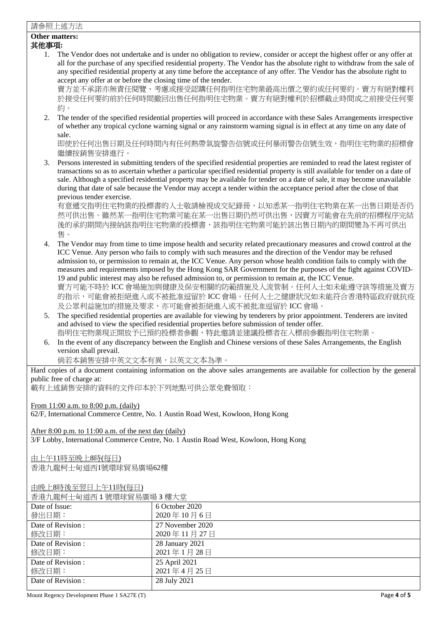## 請參照上述方法

## **Other matters:**

## 其他事項**:**

1. The Vendor does not undertake and is under no obligation to review, consider or accept the highest offer or any offer at all for the purchase of any specified residential property. The Vendor has the absolute right to withdraw from the sale of any specified residential property at any time before the acceptance of any offer. The Vendor has the absolute right to accept any offer at or before the closing time of the tender.

賣方並不承諾亦無責任閱覽、考慮或接受認購任何指明住宅物業最高出價之要約或任何要約。賣方有絕對權利 於接受任何要約前於任何時間撤回出售任何指明住宅物業。賣方有絕對權利於招標截止時間或之前接受任何要 約。

2. The tender of the specified residential properties will proceed in accordance with these Sales Arrangements irrespective of whether any tropical cyclone warning signal or any rainstorm warning signal is in effect at any time on any date of sale.

即使於任何出售日期及任何時間內有任何熱帶氣旋警告信號或任何暴雨警告信號生效,指明住宅物業的招標會 繼續按銷售安排進行。

3. Persons interested in submitting tenders of the specified residential properties are reminded to read the latest register of transactions so as to ascertain whether a particular specified residential property is still available for tender on a date of sale. Although a specified residential property may be available for tender on a date of sale, it may become unavailable during that date of sale because the Vendor may accept a tender within the acceptance period after the close of that previous tender exercise.

有意遞交指明住宅物業的投標書的人士敬請檢視成交紀錄冊,以知悉某一指明住宅物業在某一出售日期是否仍 然可供出售。雖然某一指明住宅物業可能在某一出售日期仍然可供出售,因賣方可能會在先前的招標程序完結 後的承約期間內接納該指明住宅物業的投標書,該指明住宅物業可能於該出售日期內的期間變為不再可供出 售。

- 4. The Vendor may from time to time impose health and security related precautionary measures and crowd control at the ICC Venue. Any person who fails to comply with such measures and the direction of the Vendor may be refused admission to, or permission to remain at, the ICC Venue. Any person whose health condition fails to comply with the measures and requirements imposed by the Hong Kong SAR Government for the purposes of the fight against COVID-19 and public interest may also be refused admission to, or permission to remain at, the ICC Venue. 賣方可能不時於 ICC 會場施加與健康及保安相關的防範措施及人流管制。任何人士如未能遵守該等措施及賣方 的指示,可能會被拒絕進入或不被批准逗留於 ICC 會場。任何人士之健康狀況如未能符合香港特區政府就抗疫 及公眾利益施加的措施及要求,亦可能會被拒絕進入或不被批准逗留於 ICC 會場。
- 5. The specified residential properties are available for viewing by tenderers by prior appointment. Tenderers are invited and advised to view the specified residential properties before submission of tender offer. 指明住宅物業現正開放予已預約投標者參觀,特此邀請並建議投標者在入標前參觀指明住宅物業。
- 6. In the event of any discrepancy between the English and Chinese versions of these Sales Arrangements, the English version shall prevail.

倘若本銷售安排中英文文本有異,以英文文本為準。

Hard copies of a document containing information on the above sales arrangements are available for collection by the general public free of charge at:

載有上述銷售安排的資料的文件印本於下列地點可供公眾免費領取:

From 11:00 a.m. to 8:00 p.m. (daily)

62/F, International Commerce Centre, No. 1 Austin Road West, Kowloon, Hong Kong

After 8:00 p.m. to 11:00 a.m. of the next day (daily)

3/F Lobby, International Commerce Centre, No. 1 Austin Road West, Kowloon, Hong Kong

由上午11時至晚上8時(每日)

香港九龍柯士甸道西1號環球貿易廣場62樓

由晚上8時後至翌日上午11時(每日)

| 日/巴/ 明明山 可坦出 + 加·农·小貝勿 庚物 →  安八王 |                  |  |
|----------------------------------|------------------|--|
| Date of Issue:                   | 6 October 2020   |  |
| 發出日期:                            | 2020年10月6日       |  |
| Date of Revision :               | 27 November 2020 |  |
| 修改日期:                            | 2020年11月27日      |  |
| Date of Revision :               | 28 January 2021  |  |
| 修改日期:                            | 2021年1月28日       |  |
| Date of Revision :               | 25 April 2021    |  |
| 修改日期:                            | 2021年4月25日       |  |
| Date of Revision :               | 28 July 2021     |  |
|                                  |                  |  |